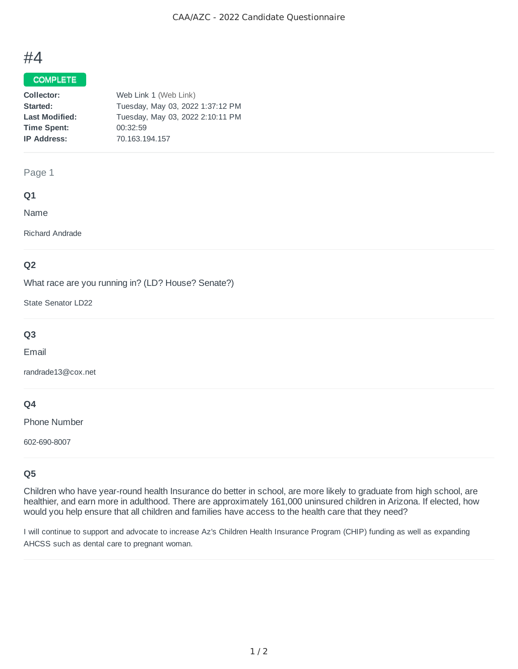# #4

# COMPLETE

| Collector:            | Web Link 1 (Web Link)            |
|-----------------------|----------------------------------|
| Started:              | Tuesday, May 03, 2022 1:37:12 PM |
| <b>Last Modified:</b> | Tuesday, May 03, 2022 2:10:11 PM |
| <b>Time Spent:</b>    | 00:32:59                         |
| <b>IP Address:</b>    | 70.163.194.157                   |

# Page 1

# **Q1**

Name

Richard Andrade

# **Q2**

What race are you running in? (LD? House? Senate?)

State Senator LD22

# **Q3**

Email

randrade13@cox.net

# **Q4**

Phone Number

602-690-8007

# **Q5**

Children who have year-round health Insurance do better in school, are more likely to graduate from high school, are healthier, and earn more in adulthood. There are approximately 161,000 uninsured children in Arizona. If elected, how would you help ensure that all children and families have access to the health care that they need?

I will continue to support and advocate to increase Az's Children Health Insurance Program (CHIP) funding as well as expanding AHCSS such as dental care to pregnant woman.